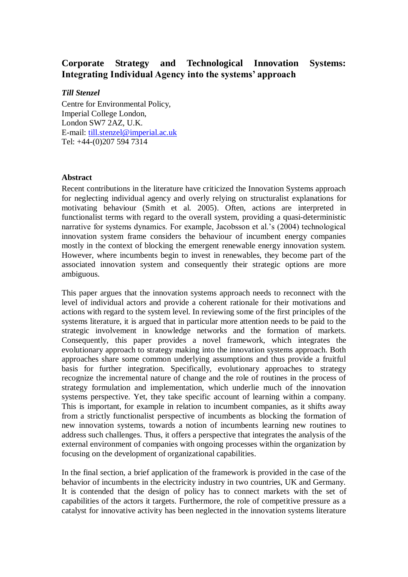## **Corporate Strategy and Technological Innovation Systems: Integrating Individual Agency into the systems' approach**

## *Till Stenzel*

Centre for Environmental Policy, Imperial College London, London SW7 2AZ, U.K. E-mail: [till.stenzel@imperial.ac.uk](mailto:till.stenzel@imperial.ac.uk) Tel: +44-(0)207 594 7314

## **Abstract**

Recent contributions in the literature have criticized the Innovation Systems approach for neglecting individual agency and overly relying on structuralist explanations for motivating behaviour (Smith et al. 2005). Often, actions are interpreted in functionalist terms with regard to the overall system, providing a quasi-deterministic narrative for systems dynamics. For example, Jacobsson et al.'s (2004) technological innovation system frame considers the behaviour of incumbent energy companies mostly in the context of blocking the emergent renewable energy innovation system. However, where incumbents begin to invest in renewables, they become part of the associated innovation system and consequently their strategic options are more ambiguous.

This paper argues that the innovation systems approach needs to reconnect with the level of individual actors and provide a coherent rationale for their motivations and actions with regard to the system level. In reviewing some of the first principles of the systems literature, it is argued that in particular more attention needs to be paid to the strategic involvement in knowledge networks and the formation of markets. Consequently, this paper provides a novel framework, which integrates the evolutionary approach to strategy making into the innovation systems approach. Both approaches share some common underlying assumptions and thus provide a fruitful basis for further integration. Specifically, evolutionary approaches to strategy recognize the incremental nature of change and the role of routines in the process of strategy formulation and implementation, which underlie much of the innovation systems perspective. Yet, they take specific account of learning within a company. This is important, for example in relation to incumbent companies, as it shifts away from a strictly functionalist perspective of incumbents as blocking the formation of new innovation systems, towards a notion of incumbents learning new routines to address such challenges. Thus, it offers a perspective that integrates the analysis of the external environment of companies with ongoing processes within the organization by focusing on the development of organizational capabilities.

In the final section, a brief application of the framework is provided in the case of the behavior of incumbents in the electricity industry in two countries, UK and Germany. It is contended that the design of policy has to connect markets with the set of capabilities of the actors it targets. Furthermore, the role of competitive pressure as a catalyst for innovative activity has been neglected in the innovation systems literature